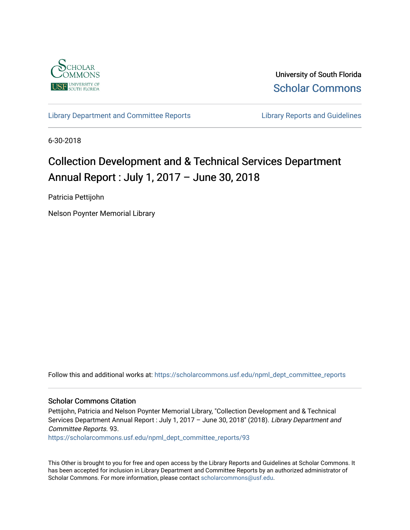

University of South Florida [Scholar Commons](https://scholarcommons.usf.edu/) 

[Library Department and Committee Reports](https://scholarcommons.usf.edu/npml_dept_committee_reports) **Library Reports and Guidelines** 

6-30-2018

# Collection Development and & Technical Services Department Annual Report : July 1, 2017 – June 30, 2018

Patricia Pettijohn

Nelson Poynter Memorial Library

Follow this and additional works at: [https://scholarcommons.usf.edu/npml\\_dept\\_committee\\_reports](https://scholarcommons.usf.edu/npml_dept_committee_reports?utm_source=scholarcommons.usf.edu%2Fnpml_dept_committee_reports%2F93&utm_medium=PDF&utm_campaign=PDFCoverPages)

## Scholar Commons Citation

Pettijohn, Patricia and Nelson Poynter Memorial Library, "Collection Development and & Technical Services Department Annual Report : July 1, 2017 – June 30, 2018" (2018). Library Department and Committee Reports. 93.

[https://scholarcommons.usf.edu/npml\\_dept\\_committee\\_reports/93](https://scholarcommons.usf.edu/npml_dept_committee_reports/93?utm_source=scholarcommons.usf.edu%2Fnpml_dept_committee_reports%2F93&utm_medium=PDF&utm_campaign=PDFCoverPages) 

This Other is brought to you for free and open access by the Library Reports and Guidelines at Scholar Commons. It has been accepted for inclusion in Library Department and Committee Reports by an authorized administrator of Scholar Commons. For more information, please contact [scholarcommons@usf.edu](mailto:scholarcommons@usf.edu).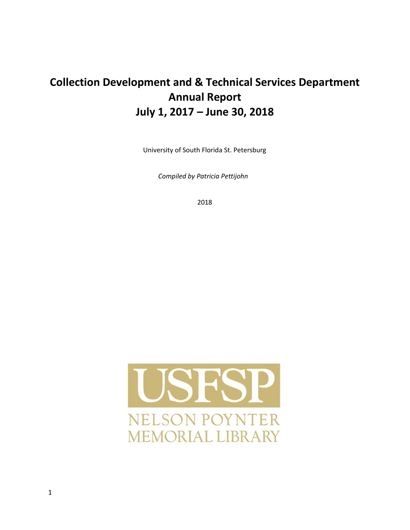# **Collection Development and & Technical Services Department Annual Report July 1, 2017 – June 30, 2018**

University of South Florida St. Petersburg

*Compiled by Patricia Pettijohn* 

2018

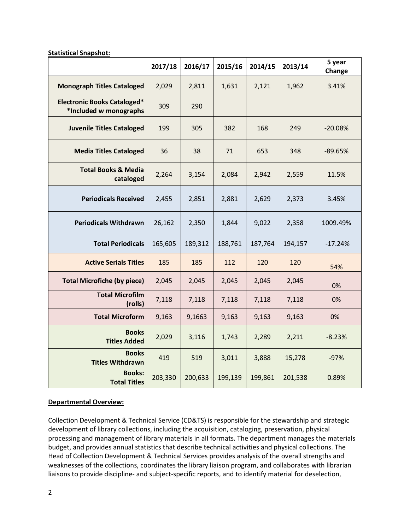|                                                              | 2017/18 | 2016/17 | 2015/16 | 2014/15 | 2013/14 | 5 year<br>Change |
|--------------------------------------------------------------|---------|---------|---------|---------|---------|------------------|
| <b>Monograph Titles Cataloged</b>                            | 2,029   | 2,811   | 1,631   | 2,121   | 1,962   | 3.41%            |
| <b>Electronic Books Cataloged*</b><br>*Included w monographs | 309     | 290     |         |         |         |                  |
| <b>Juvenile Titles Cataloged</b>                             | 199     | 305     | 382     | 168     | 249     | $-20.08%$        |
| <b>Media Titles Cataloged</b>                                | 36      | 38      | 71      | 653     | 348     | $-89.65%$        |
| <b>Total Books &amp; Media</b><br>cataloged                  | 2,264   | 3,154   | 2,084   | 2,942   | 2,559   | 11.5%            |
| <b>Periodicals Received</b>                                  | 2,455   | 2,851   | 2,881   | 2,629   | 2,373   | 3.45%            |
| <b>Periodicals Withdrawn</b>                                 | 26,162  | 2,350   | 1,844   | 9,022   | 2,358   | 1009.49%         |
| <b>Total Periodicals</b>                                     | 165,605 | 189,312 | 188,761 | 187,764 | 194,157 | $-17.24%$        |
| <b>Active Serials Titles</b>                                 | 185     | 185     | 112     | 120     | 120     | 54%              |
| <b>Total Microfiche (by piece)</b>                           | 2,045   | 2,045   | 2,045   | 2,045   | 2,045   | 0%               |
| <b>Total Microfilm</b><br>(rolls)                            | 7,118   | 7,118   | 7,118   | 7,118   | 7,118   | 0%               |
| <b>Total Microform</b>                                       | 9,163   | 9,1663  | 9,163   | 9,163   | 9,163   | 0%               |
| <b>Books</b><br><b>Titles Added</b>                          | 2,029   | 3,116   | 1,743   | 2,289   | 2,211   | $-8.23%$         |
| <b>Books</b><br><b>Titles Withdrawn</b>                      | 419     | 519     | 3,011   | 3,888   | 15,278  | $-97%$           |
| <b>Books:</b><br><b>Total Titles</b>                         | 203,330 | 200,633 | 199,139 | 199,861 | 201,538 | 0.89%            |

#### **Statistical Snapshot:**

## **Departmental Overview:**

Collection Development & Technical Service (CD&TS) is responsible for the stewardship and strategic development of library collections, including the acquisition, cataloging, preservation, physical processing and management of library materials in all formats. The department manages the materials budget, and provides annual statistics that describe technical activities and physical collections. The Head of Collection Development & Technical Services provides analysis of the overall strengths and weaknesses of the collections, coordinates the library liaison program, and collaborates with librarian liaisons to provide discipline- and subject-specific reports, and to identify material for deselection,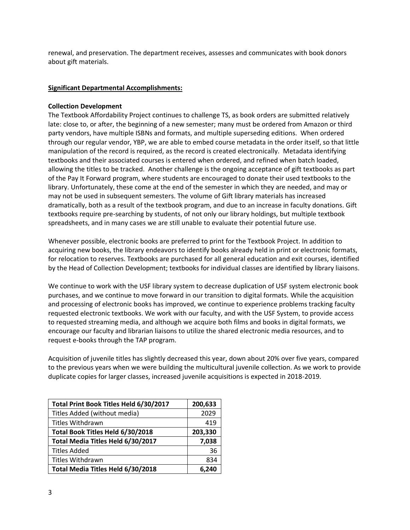renewal, and preservation. The department receives, assesses and communicates with book donors about gift materials.

#### **Significant Departmental Accomplishments:**

#### **Collection Development**

The Textbook Affordability Project continues to challenge TS, as book orders are submitted relatively late: close to, or after, the beginning of a new semester; many must be ordered from Amazon or third party vendors, have multiple ISBNs and formats, and multiple superseding editions. When ordered through our regular vendor, YBP, we are able to embed course metadata in the order itself, so that little manipulation of the record is required, as the record is created electronically. Metadata identifying textbooks and their associated courses is entered when ordered, and refined when batch loaded, allowing the titles to be tracked. Another challenge is the ongoing acceptance of gift textbooks as part of the Pay It Forward program, where students are encouraged to donate their used textbooks to the library. Unfortunately, these come at the end of the semester in which they are needed, and may or may not be used in subsequent semesters. The volume of Gift library materials has increased dramatically, both as a result of the textbook program, and due to an increase in faculty donations. Gift textbooks require pre-searching by students, of not only our library holdings, but multiple textbook spreadsheets, and in many cases we are still unable to evaluate their potential future use.

Whenever possible, electronic books are preferred to print for the Textbook Project. In addition to acquiring new books, the library endeavors to identify books already held in print or electronic formats, for relocation to reserves. Textbooks are purchased for all general education and exit courses, identified by the Head of Collection Development; textbooks for individual classes are identified by library liaisons.

We continue to work with the USF library system to decrease duplication of USF system electronic book purchases, and we continue to move forward in our transition to digital formats. While the acquisition and processing of electronic books has improved, we continue to experience problems tracking faculty requested electronic textbooks. We work with our faculty, and with the USF System, to provide access to requested streaming media, and although we acquire both films and books in digital formats, we encourage our faculty and librarian liaisons to utilize the shared electronic media resources, and to request e-books through the TAP program.

Acquisition of juvenile titles has slightly decreased this year, down about 20% over five years, compared to the previous years when we were building the multicultural juvenile collection. As we work to provide duplicate copies for larger classes, increased juvenile acquisitions is expected in 2018-2019.

| Total Print Book Titles Held 6/30/2017 | 200,633 |
|----------------------------------------|---------|
| Titles Added (without media)           | 2029    |
| <b>Titles Withdrawn</b>                | 419     |
| Total Book Titles Held 6/30/2018       | 203,330 |
| Total Media Titles Held 6/30/2017      | 7,038   |
| <b>Titles Added</b>                    | 36      |
| Titles Withdrawn                       | 834     |
| Total Media Titles Held 6/30/2018      | 6.240   |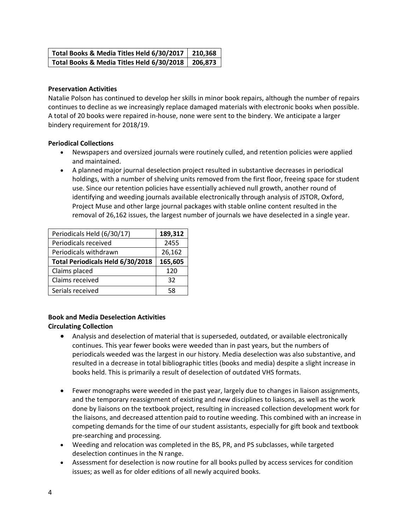## **Total Books & Media Titles Held 6/30/2017 210,368 Total Books & Media Titles Held 6/30/2018 206,873**

## **Preservation Activities**

Natalie Polson has continued to develop her skills in minor book repairs, although the number of repairs continues to decline as we increasingly replace damaged materials with electronic books when possible. A total of 20 books were repaired in-house, none were sent to the bindery. We anticipate a larger bindery requirement for 2018/19.

## **Periodical Collections**

- Newspapers and oversized journals were routinely culled, and retention policies were applied and maintained.
- A planned major journal deselection project resulted in substantive decreases in periodical holdings, with a number of shelving units removed from the first floor, freeing space for student use. Since our retention policies have essentially achieved null growth, another round of identifying and weeding journals available electronically through analysis of JSTOR, Oxford, Project Muse and other large journal packages with stable online content resulted in the removal of 26,162 issues, the largest number of journals we have deselected in a single year.

| Periodicals Held (6/30/17)       | 189,312 |
|----------------------------------|---------|
| Periodicals received             | 2455    |
| Periodicals withdrawn            | 26,162  |
| Total Periodicals Held 6/30/2018 | 165,605 |
| Claims placed                    | 120     |
| Claims received                  | 32      |
| Serials received                 | 58      |

## **Book and Media Deselection Activities Circulating Collection**

- Analysis and deselection of material that is superseded, outdated, or available electronically continues. This year fewer books were weeded than in past years, but the numbers of periodicals weeded was the largest in our history. Media deselection was also substantive, and resulted in a decrease in total bibliographic titles (books and media) despite a slight increase in books held. This is primarily a result of deselection of outdated VHS formats.
- Fewer monographs were weeded in the past year, largely due to changes in liaison assignments, and the temporary reassignment of existing and new disciplines to liaisons, as well as the work done by liaisons on the textbook project, resulting in increased collection development work for the liaisons, and decreased attention paid to routine weeding. This combined with an increase in competing demands for the time of our student assistants, especially for gift book and textbook pre-searching and processing.
- Weeding and relocation was completed in the BS, PR, and PS subclasses, while targeted deselection continues in the N range.
- Assessment for deselection is now routine for all books pulled by access services for condition issues; as well as for older editions of all newly acquired books.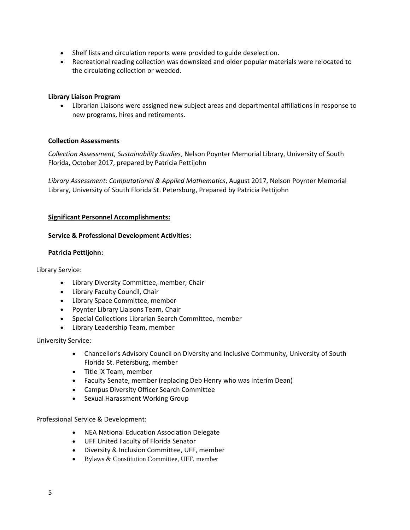- Shelf lists and circulation reports were provided to guide deselection.
- Recreational reading collection was downsized and older popular materials were relocated to the circulating collection or weeded.

## **Library Liaison Program**

• Librarian Liaisons were assigned new subject areas and departmental affiliations in response to new programs, hires and retirements.

## **Collection Assessments**

*Collection Assessment, Sustainability Studies*, Nelson Poynter Memorial Library, University of South Florida, October 2017, prepared by Patricia Pettijohn

*Library Assessment: Computational & Applied Mathematics*, August 2017, Nelson Poynter Memorial Library, University of South Florida St. Petersburg, Prepared by Patricia Pettijohn

## **Significant Personnel Accomplishments:**

## **Service & Professional Development Activities:**

## **Patricia Pettijohn:**

Library Service:

- Library Diversity Committee, member; Chair
- Library Faculty Council, Chair
- Library Space Committee, member
- Poynter Library Liaisons Team, Chair
- Special Collections Librarian Search Committee, member
- Library Leadership Team, member

University Service:

- Chancellor's Advisory Council on Diversity and Inclusive Community, University of South Florida St. Petersburg, member
- Title IX Team, member
- Faculty Senate, member (replacing Deb Henry who was interim Dean)
- Campus Diversity Officer Search Committee
- Sexual Harassment Working Group

Professional Service & Development:

- NEA National Education Association Delegate
- UFF United Faculty of Florida Senator
- Diversity & Inclusion Committee, UFF, member
- Bylaws & Constitution Committee, UFF, member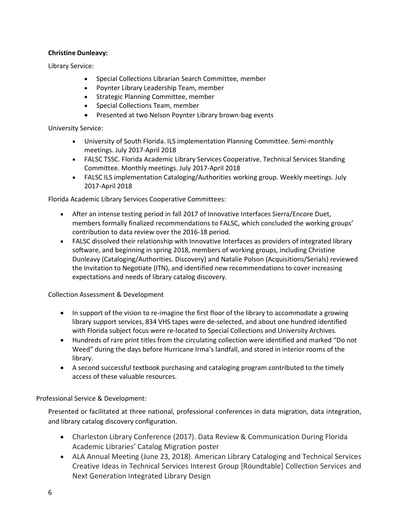## **Christine Dunleavy:**

Library Service:

- Special Collections Librarian Search Committee, member
- Poynter Library Leadership Team, member
- Strategic Planning Committee, member
- Special Collections Team, member
- Presented at two Nelson Poynter Library brown-bag events

University Service:

- University of South Florida. ILS implementation Planning Committee. Semi-monthly meetings. July 2017-April 2018
- FALSC TSSC. Florida Academic Library Services Cooperative. Technical Services Standing Committee. Monthly meetings. July 2017-April 2018
- FALSC ILS implementation Cataloging/Authorities working group. Weekly meetings. July 2017-April 2018

Florida Academic Library Services Cooperative Committees:

- After an intense testing period in fall 2017 of Innovative Interfaces Sierra/Encore Duet, members formally finalized recommendations to FALSC, which concluded the working groups' contribution to data review over the 2016-18 period.
- FALSC dissolved their relationship with Innovative Interfaces as providers of integrated library software, and beginning in spring 2018, members of working groups, including Christine Dunleavy (Cataloging/Authorities. Discovery) and Natalie Polson (Acquisitions/Serials) reviewed the Invitation to Negotiate (ITN), and identified new recommendations to cover increasing expectations and needs of library catalog discovery.

## Collection Assessment & Development

- In support of the vision to re-imagine the first floor of the library to accommodate a growing library support services, 834 VHS tapes were de-selected, and about one hundred identified with Florida subject focus were re-located to Special Collections and University Archives.
- Hundreds of rare print titles from the circulating collection were identified and marked "Do not Weed" during the days before Hurricane Irma's landfall, and stored in interior rooms of the library.
- A second successful textbook purchasing and cataloging program contributed to the timely access of these valuable resources.

Professional Service & Development:

Presented or facilitated at three national, professional conferences in data migration, data integration, and library catalog discovery configuration.

- Charleston Library Conference (2017). Data Review & Communication During Florida Academic Libraries' Catalog Migration poster
- ALA Annual Meeting (June 23, 2018). American Library Cataloging and Technical Services Creative Ideas in Technical Services Interest Group [Roundtable] Collection Services and Next Generation Integrated Library Design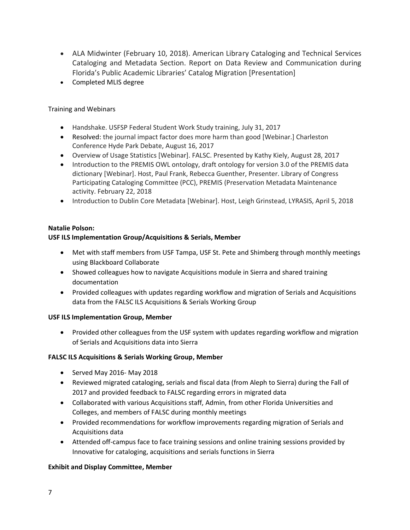- ALA Midwinter (February 10, 2018). American Library Cataloging and Technical Services Cataloging and Metadata Section. Report on Data Review and Communication during Florida's Public Academic Libraries' Catalog Migration [Presentation]
- Completed MLIS degree

## Training and Webinars

- Handshake. USFSP Federal Student Work Study training, July 31, 2017
- Resolved: the journal impact factor does more harm than good [Webinar.] Charleston Conference Hyde Park Debate, August 16, 2017
- Overview of Usage Statistics [Webinar]. FALSC. Presented by Kathy Kiely, August 28, 2017
- Introduction to the PREMIS OWL ontology, draft ontology for version 3.0 of the PREMIS data dictionary [Webinar]. Host, Paul Frank, Rebecca Guenther, Presenter. Library of Congress Participating Cataloging Committee (PCC), PREMIS (Preservation Metadata Maintenance activity. February 22, 2018
- Introduction to Dublin Core Metadata [Webinar]. Host, Leigh Grinstead, LYRASIS, April 5, 2018

## **Natalie Polson:**

## **USF ILS Implementation Group/Acquisitions & Serials, Member**

- Met with staff members from USF Tampa, USF St. Pete and Shimberg through monthly meetings using Blackboard Collaborate
- Showed colleagues how to navigate Acquisitions module in Sierra and shared training documentation
- Provided colleagues with updates regarding workflow and migration of Serials and Acquisitions data from the FALSC ILS Acquisitions & Serials Working Group

## **USF ILS Implementation Group, Member**

• Provided other colleagues from the USF system with updates regarding workflow and migration of Serials and Acquisitions data into Sierra

## **FALSC ILS Acquisitions & Serials Working Group, Member**

- Served May 2016- May 2018
- Reviewed migrated cataloging, serials and fiscal data (from Aleph to Sierra) during the Fall of 2017 and provided feedback to FALSC regarding errors in migrated data
- Collaborated with various Acquisitions staff, Admin, from other Florida Universities and Colleges, and members of FALSC during monthly meetings
- Provided recommendations for workflow improvements regarding migration of Serials and Acquisitions data
- Attended off-campus face to face training sessions and online training sessions provided by Innovative for cataloging, acquisitions and serials functions in Sierra

## **Exhibit and Display Committee, Member**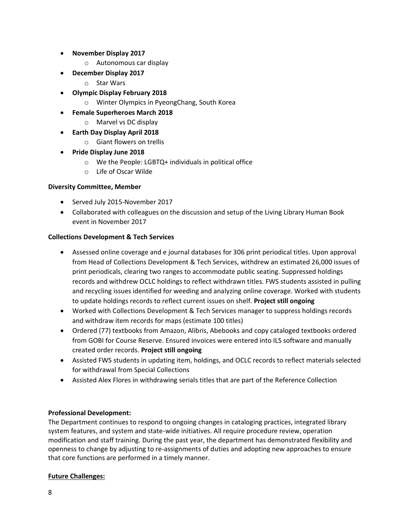- **November Display 2017**
	- o Autonomous car display
- **December Display 2017**
	- o Star Wars
- **Olympic Display February 2018**
	- o Winter Olympics in PyeongChang, South Korea
- **Female Superheroes March 2018**
	- o Marvel vs DC display
- **Earth Day Display April 2018**
	- o Giant flowers on trellis
- **Pride Display June 2018**
	- o We the People: LGBTQ+ individuals in political office
	- o Life of Oscar Wilde

## **Diversity Committee, Member**

- Served July 2015-November 2017
- Collaborated with colleagues on the discussion and setup of the Living Library Human Book event in November 2017

## **Collections Development & Tech Services**

- Assessed online coverage and e journal databases for 306 print periodical titles. Upon approval from Head of Collections Development & Tech Services, withdrew an estimated 26,000 issues of print periodicals, clearing two ranges to accommodate public seating. Suppressed holdings records and withdrew OCLC holdings to reflect withdrawn titles. FWS students assisted in pulling and recycling issues identified for weeding and analyzing online coverage. Worked with students to update holdings records to reflect current issues on shelf. **Project still ongoing**
- Worked with Collections Development & Tech Services manager to suppress holdings records and withdraw item records for maps (estimate 100 titles)
- Ordered (77) textbooks from Amazon, Alibris, Abebooks and copy cataloged textbooks ordered from GOBI for Course Reserve. Ensured invoices were entered into ILS software and manually created order records. **Project still ongoing**
- Assisted FWS students in updating item, holdings, and OCLC records to reflect materials selected for withdrawal from Special Collections
- Assisted Alex Flores in withdrawing serials titles that are part of the Reference Collection

## **Professional Development:**

The Department continues to respond to ongoing changes in cataloging practices, integrated library system features, and system and state-wide initiatives. All require procedure review, operation modification and staff training. During the past year, the department has demonstrated flexibility and openness to change by adjusting to re-assignments of duties and adopting new approaches to ensure that core functions are performed in a timely manner.

## **Future Challenges:**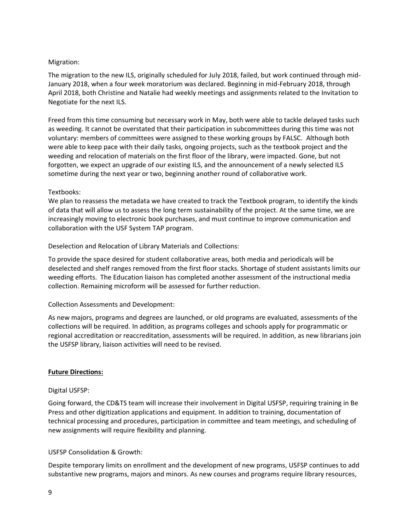## Migration:

The migration to the new ILS, originally scheduled for July 2018, failed, but work continued through mid-January 2018, when a four week moratorium was declared. Beginning in mid-February 2018, through April 2018, both Christine and Natalie had weekly meetings and assignments related to the Invitation to Negotiate for the next ILS.

Freed from this time consuming but necessary work in May, both were able to tackle delayed tasks such as weeding. It cannot be overstated that their participation in subcommittees during this time was not voluntary: members of committees were assigned to these working groups by FALSC. Although both were able to keep pace with their daily tasks, ongoing projects, such as the textbook project and the weeding and relocation of materials on the first floor of the library, were impacted. Gone, but not forgotten, we expect an upgrade of our existing ILS, and the announcement of a newly selected ILS sometime during the next year or two, beginning another round of collaborative work.

## Textbooks:

We plan to reassess the metadata we have created to track the Textbook program, to identify the kinds of data that will allow us to assess the long term sustainability of the project. At the same time, we are increasingly moving to electronic book purchases, and must continue to improve communication and collaboration with the USF System TAP program.

Deselection and Relocation of Library Materials and Collections:

To provide the space desired for student collaborative areas, both media and periodicals will be deselected and shelf ranges removed from the first floor stacks. Shortage of student assistants limits our weeding efforts. The Education liaison has completed another assessment of the instructional media collection. Remaining microform will be assessed for further reduction.

## Collection Assessments and Development:

As new majors, programs and degrees are launched, or old programs are evaluated, assessments of the collections will be required. In addition, as programs colleges and schools apply for programmatic or regional accreditation or reaccreditation, assessments will be required. In addition, as new librarians join the USFSP library, liaison activities will need to be revised.

## **Future Directions:**

## Digital USFSP:

Going forward, the CD&TS team will increase their involvement in Digital USFSP, requiring training in Be Press and other digitization applications and equipment. In addition to training, documentation of technical processing and procedures, participation in committee and team meetings, and scheduling of new assignments will require flexibility and planning.

## USFSP Consolidation & Growth:

Despite temporary limits on enrollment and the development of new programs, USFSP continues to add substantive new programs, majors and minors. As new courses and programs require library resources,